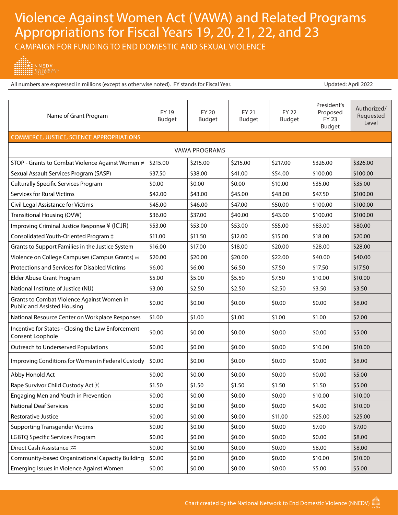# Violence Against Women Act (VAWA) and Related Programs Appropriations for Fiscal Years 19, 20, 21, 22, and 23

CAMPAIGN FOR FUNDING TO END DOMESTIC AND SEXUAL VIOLENCE

## AN INTEDV **IN IN E D V**<br>
NATIONAL NETWORK<br>
TO END DOMESTIC<br>
VIOLENCE

All numbers are expressed in millions (except as otherwise noted). FY stands for Fiscal Year. The manufacture of the Updated: April 2022

| Name of Grant Program                                                            | FY 19<br><b>Budget</b> | <b>FY 20</b><br><b>Budget</b> | <b>FY 21</b><br><b>Budget</b> | <b>FY 22</b><br><b>Budget</b> | President's<br>Proposed<br><b>FY 23</b><br><b>Budget</b> | Authorized/<br>Requested<br>Level |  |
|----------------------------------------------------------------------------------|------------------------|-------------------------------|-------------------------------|-------------------------------|----------------------------------------------------------|-----------------------------------|--|
| <b>COMMERCE, JUSTICE, SCIENCE APPROPRIATIONS</b>                                 |                        |                               |                               |                               |                                                          |                                   |  |
| <b>VAWA PROGRAMS</b>                                                             |                        |                               |                               |                               |                                                          |                                   |  |
| STOP - Grants to Combat Violence Against Women ≠                                 | \$215.00               | \$215.00                      | \$215.00                      | \$217.00                      | \$326.00                                                 | \$326.00                          |  |
| Sexual Assault Services Program (SASP)                                           | \$37.50                | \$38.00                       | \$41.00                       | \$54.00                       | \$100.00                                                 | \$100.00                          |  |
| <b>Culturally Specific Services Program</b>                                      | \$0.00                 | \$0.00                        | \$0.00                        | \$10.00                       | \$35.00                                                  | \$35.00                           |  |
| <b>Services for Rural Victims</b>                                                | \$42.00                | \$43.00                       | \$45.00                       | \$48.00                       | \$47.50                                                  | \$100.00                          |  |
| Civil Legal Assistance for Victims                                               | \$45.00                | \$46.00                       | \$47.00                       | \$50.00                       | \$100.00                                                 | \$100.00                          |  |
| Transitional Housing (OVW)                                                       | \$36.00                | \$37.00                       | \$40.00                       | \$43.00                       | \$100.00                                                 | \$100.00                          |  |
| Improving Criminal Justice Response ¥ (ICJR)                                     | \$53.00                | \$53.00                       | \$53.00                       | \$55.00                       | \$83.00                                                  | \$80.00                           |  |
| Consolidated Youth-Oriented Program ‡                                            | \$11.00                | \$11.50                       | \$12.00                       | \$15.00                       | \$18.00                                                  | \$20.00                           |  |
| Grants to Support Families in the Justice System                                 | \$16.00                | \$17.00                       | \$18.00                       | \$20.00                       | \$28.00                                                  | \$28.00                           |  |
| Violence on College Campuses (Campus Grants) $\infty$                            | \$20.00                | \$20.00                       | \$20.00                       | \$22.00                       | \$40.00                                                  | \$40.00                           |  |
| Protections and Services for Disabled Victims                                    | \$6.00                 | \$6.00                        | \$6.50                        | \$7.50                        | \$17.50                                                  | \$17.50                           |  |
| Elder Abuse Grant Program                                                        | \$5.00                 | \$5.00                        | \$5.50                        | \$7.50                        | \$10.00                                                  | \$10.00                           |  |
| National Institute of Justice (NIJ)                                              | \$3.00                 | \$2.50                        | \$2.50                        | \$2.50                        | \$3.50                                                   | \$3.50                            |  |
| Grants to Combat Violence Against Women in<br><b>Public and Assisted Housing</b> | \$0.00                 | \$0.00                        | \$0.00                        | \$0.00                        | \$0.00                                                   | \$8.00                            |  |
| National Resource Center on Workplace Responses                                  | \$1.00                 | \$1.00                        | \$1.00                        | \$1.00                        | \$1.00                                                   | \$2.00                            |  |
| Incentive for States - Closing the Law Enforcement<br>Consent Loophole           | \$0.00                 | \$0.00                        | \$0.00                        | \$0.00                        | \$0.00                                                   | \$5.00                            |  |
| Outreach to Underserved Populations                                              | \$0.00                 | \$0.00                        | \$0.00                        | \$0.00                        | \$10.00                                                  | \$10.00                           |  |
| Improving Conditions for Women in Federal Custody                                | \$0.00                 | \$0.00                        | \$0.00                        | \$0.00                        | \$0.00                                                   | \$8.00                            |  |
| Abby Honold Act                                                                  | \$0.00                 | \$0.00                        | \$0.00                        | \$0.00                        | \$0.00                                                   | \$5.00                            |  |
| Rape Survivor Child Custody Act K                                                | \$1.50                 | \$1.50                        | \$1.50                        | \$1.50                        | \$1.50                                                   | \$5.00                            |  |
| Engaging Men and Youth in Prevention                                             | \$0.00                 | \$0.00                        | \$0.00                        | \$0.00                        | \$10.00                                                  | \$10.00                           |  |
| <b>National Deaf Services</b>                                                    | \$0.00                 | \$0.00                        | \$0.00                        | \$0.00                        | \$4.00                                                   | \$10.00                           |  |
| Restorative Justice                                                              | \$0.00                 | \$0.00                        | \$0.00                        | \$11.00                       | \$25.00                                                  | \$25.00                           |  |
| <b>Supporting Transgender Victims</b>                                            | \$0.00                 | \$0.00                        | \$0.00                        | \$0.00                        | \$7.00                                                   | \$7.00                            |  |
| <b>LGBTQ Specific Services Program</b>                                           | \$0.00                 | \$0.00                        | \$0.00                        | \$0.00                        | \$0.00                                                   | \$8.00                            |  |
| Direct Cash Assistance $\mathfrak{m}$                                            | \$0.00                 | \$0.00                        | \$0.00                        | \$0.00                        | \$8.00                                                   | \$8.00                            |  |
| Community-based Organizational Capacity Building                                 | \$0.00                 | \$0.00                        | \$0.00                        | \$0.00                        | \$10.00                                                  | \$10.00                           |  |
| Emerging Issues in Violence Against Women                                        | \$0.00                 | \$0.00                        | \$0.00                        | \$0.00                        | \$5.00                                                   | \$5.00                            |  |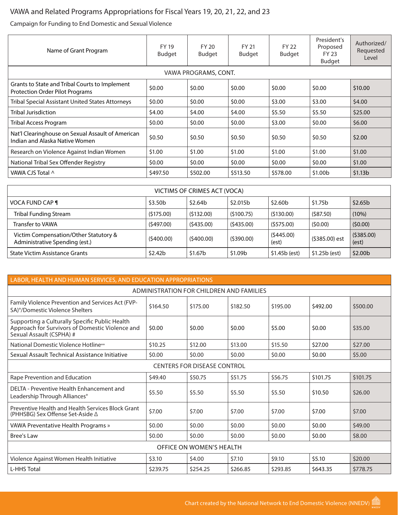### VAWA and Related Programs Appropriations for Fiscal Years 19, 20, 21, 22, and 23

Campaign for Funding to End Domestic and Sexual Violence

| Name of Grant Program                                                                    | <b>FY 19</b><br><b>Budget</b> | FY 20<br><b>Budget</b> | <b>FY 21</b><br><b>Budget</b> | <b>FY 22</b><br>Budget | President's<br>Proposed<br>FY 23<br>Budget | Authorized/<br>Requested<br>Level |  |
|------------------------------------------------------------------------------------------|-------------------------------|------------------------|-------------------------------|------------------------|--------------------------------------------|-----------------------------------|--|
|                                                                                          |                               | VAWA PROGRAMS, CONT.   |                               |                        |                                            |                                   |  |
| Grants to State and Tribal Courts to Implement<br><b>Protection Order Pilot Programs</b> | \$0.00                        | \$0.00                 | \$0.00                        | \$0.00                 | \$0.00                                     | \$10.00                           |  |
| Tribal Special Assistant United States Attorneys                                         | \$0.00                        | \$0.00                 | \$0.00                        | \$3.00                 | \$3.00                                     | \$4.00                            |  |
| <b>Tribal Jurisdiction</b>                                                               | \$4.00                        | \$4.00                 | \$4.00                        | \$5.50                 | \$5.50                                     | \$25.00                           |  |
| <b>Tribal Access Program</b>                                                             | \$0.00                        | \$0.00                 | \$0.00                        | \$3.00                 | \$0.00                                     | \$6.00                            |  |
| Nat'l Clearinghouse on Sexual Assault of American<br>Indian and Alaska Native Women      | \$0.50                        | \$0.50                 | \$0.50                        | \$0.50                 | \$0.50                                     | \$2.00                            |  |
| Research on Violence Against Indian Women                                                | \$1.00                        | \$1.00                 | \$1.00                        | \$1.00                 | \$1.00                                     | \$1.00                            |  |
| National Tribal Sex Offender Registry                                                    | \$0.00                        | \$0.00                 | \$0.00                        | \$0.00                 | \$0.00                                     | \$1.00                            |  |
| VAWA CJS Total ^                                                                         | \$497.50                      | \$502.00               | \$513.50                      | \$578.00               | \$1.00b                                    | \$1.13 <sub>b</sub>               |  |
|                                                                                          |                               |                        |                               |                        |                                            |                                   |  |
| VICTIMS OF CRIMES ACT (VOCA)                                                             |                               |                        |                               |                        |                                            |                                   |  |

| <b>VOCA FUND CAP ¶</b>                                                  | \$3.50 <sub>b</sub> | \$2.64b   | \$2.015b  | \$2.60 <sub>b</sub> | \$1.75b        | \$2.65 <sub>b</sub> |  |
|-------------------------------------------------------------------------|---------------------|-----------|-----------|---------------------|----------------|---------------------|--|
| <b>Tribal Funding Stream</b>                                            | (5175.00)           | (5132.00) | (5100.75) | (5130.00)           | (587.50)       | (10%)               |  |
| Transfer to VAWA                                                        | (5497.00)           | (5435.00) | (5435.00) | (5575.00)           | (50.00)        | (50.00)             |  |
| Victim Compensation/Other Statutory &<br>Administrative Spending (est.) | (5400.00)           | (5400.00) | (5390.00) | (5445.00)<br>(est)  | (\$385.00) est | (5385.00)<br>(est)  |  |
| State Victim Assistance Grants                                          | \$2.42 <sub>b</sub> | \$1.67b   | \$1.09b   | \$1.45b (est)       | \$1.25b (est)  | \$2.00 <sub>b</sub> |  |

| LABOR, HEALTH AND HUMAN SERVICES, AND EDUCATION APPROPRIATIONS                                                                |          |          |          |          |          |          |  |  |
|-------------------------------------------------------------------------------------------------------------------------------|----------|----------|----------|----------|----------|----------|--|--|
| ADMINISTRATION FOR CHILDREN AND FAMILIES                                                                                      |          |          |          |          |          |          |  |  |
| Family Violence Prevention and Services Act (FVP-<br>SA)°/Domestic Violence Shelters                                          | \$164.50 | \$175.00 | \$182.50 | \$195.00 | \$492.00 | \$500.00 |  |  |
| Supporting a Culturally Specific Public Health<br>Approach for Survivors of Domestic Violence and<br>Sexual Assault (CSPHA) # | \$0.00   | \$0.00   | \$0.00   | \$5.00   | \$0.00   | \$35.00  |  |  |
| National Domestic Violence Hotline**                                                                                          | \$10.25  | \$12.00  | \$13.00  | \$15.50  | \$27.00  | \$27.00  |  |  |
| Sexual Assault Technical Assistance Initiative                                                                                | \$0.00   | \$0.00   | \$0.00   | \$0.00   | \$0.00   | \$5.00   |  |  |
| <b>CENTERS FOR DISEASE CONTROL</b>                                                                                            |          |          |          |          |          |          |  |  |
| Rape Prevention and Education                                                                                                 | \$49.40  | \$50.75  | \$51.75  | \$56.75  | \$101.75 | \$101.75 |  |  |
| DELTA - Preventive Health Enhancement and<br>Leadership Through Alliances°                                                    | \$5.50   | \$5.50   | \$5.50   | \$5.50   | \$10.50  | \$26.00  |  |  |
| Preventive Health and Health Services Block Grant<br>(PHHSBG) Sex Offense Set-Aside ∆                                         | \$7.00   | \$7.00   | \$7.00   | \$7.00   | \$7.00   | \$7.00   |  |  |
| VAWA Preventative Health Programs »                                                                                           | \$0.00   | \$0.00   | \$0.00   | \$0.00   | \$0.00   | \$49.00  |  |  |
| Bree's Law                                                                                                                    | \$0.00   | \$0.00   | \$0.00   | \$0.00   | \$0.00   | \$8.00   |  |  |
| OFFICE ON WOMEN'S HEALTH                                                                                                      |          |          |          |          |          |          |  |  |
| Violence Against Women Health Initiative                                                                                      | \$3.10   | \$4.00   | \$7.10   | \$9.10   | \$5.10   | \$20.00  |  |  |
| L-HHS Total                                                                                                                   | \$239.75 | \$254.25 | \$266.85 | \$293.85 | \$643.35 | \$778.75 |  |  |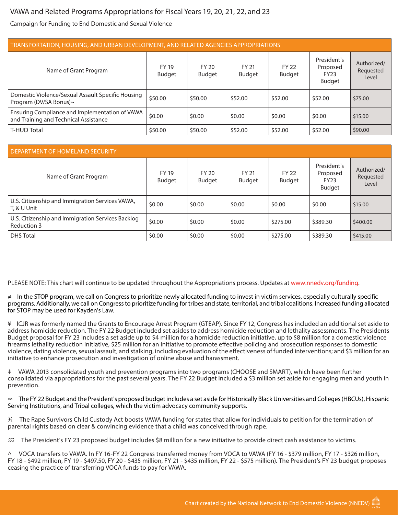#### VAWA and Related Programs Appropriations for Fiscal Years 19, 20, 21, 22, and 23

Campaign for Funding to End Domestic and Sexual Violence

| TRANSPORTATION, HOUSING, AND URBAN DEVELOPMENT, AND RELATED AGENCIES APPROPRIATIONS     |                               |                        |                 |                        |                                                         |                                   |  |  |
|-----------------------------------------------------------------------------------------|-------------------------------|------------------------|-----------------|------------------------|---------------------------------------------------------|-----------------------------------|--|--|
| Name of Grant Program                                                                   | <b>FY 19</b><br><b>Budget</b> | FY 20<br><b>Budget</b> | FY 21<br>Budget | <b>FY 22</b><br>Budget | President's<br>Proposed<br><b>FY23</b><br><b>Budget</b> | Authorized/<br>Requested<br>Level |  |  |
| Domestic Violence/Sexual Assault Specific Housing<br>Program (DV/SA Bonus)~             | \$50.00                       | \$50.00                | \$52.00         | \$52.00                | \$52.00                                                 | \$75.00                           |  |  |
| Ensuring Compliance and Implementation of VAWA<br>and Training and Technical Assistance | \$0.00                        | \$0.00                 | \$0.00          | \$0.00                 | \$0.00                                                  | \$15.00                           |  |  |
| T-HUD Total                                                                             | \$50.00                       | \$50.00                | \$52.00         | \$52.00                | \$52.00                                                 | \$90.00                           |  |  |

| <b>DEPARTMENT OF HOMELAND SECURITY</b>                           |                               |                               |                        |                        |                                                  |                                   |  |
|------------------------------------------------------------------|-------------------------------|-------------------------------|------------------------|------------------------|--------------------------------------------------|-----------------------------------|--|
| Name of Grant Program                                            | <b>FY 19</b><br><b>Budget</b> | <b>FY 20</b><br><b>Budget</b> | <b>FY 21</b><br>Budget | <b>FY 22</b><br>Budget | President's<br>Proposed<br><b>FY23</b><br>Budget | Authorized/<br>Requested<br>Level |  |
| U.S. Citizenship and Immigration Services VAWA,<br>T, & U Unit   | \$0.00                        | \$0.00                        | \$0.00                 | \$0.00                 | \$0.00                                           | \$15.00                           |  |
| U.S. Citizenship and Immigration Services Backlog<br>Reduction 3 | \$0.00                        | \$0.00                        | \$0.00                 | \$275.00               | \$389.30                                         | \$400.00                          |  |
| <b>DHS Total</b>                                                 | \$0.00                        | \$0.00                        | \$0.00                 | \$275.00               | \$389.30                                         | \$415.00                          |  |

PLEASE NOTE: This chart will continue to be updated throughout the Appropriations process. Updates at www.nnedv.org/funding.

≠ In the STOP program, we call on Congress to prioritize newly allocated funding to invest in victim services, especially culturally specific programs. Additionally, we call on Congress to prioritize funding for tribes and state, territorial, and tribal coalitions. Increased funding allocated for STOP may be used for Kayden's Law.

¥ ICJR was formerly named the Grants to Encourage Arrest Program (GTEAP). Since FY 12, Congress has included an additional set aside to address homicide reduction. The FY 22 Budget included set asides to address homicide reduction and lethality assessments. The Presidents Budget proposal for FY 23 includes a set aside up to \$4 million for a homicide reduction initiative, up to \$8 million for a domestic violence firearms lethality reduction initiative, \$25 million for an initiative to promote effective policing and prosecution responses to domestic violence, dating violence, sexual assault, and stalking, including evaluation of the effectiveness of funded interventions; and \$3 million for an initiative to enhance prosecution and investigation of online abuse and harassment.

‡ VAWA 2013 consolidated youth and prevention programs into two programs (CHOOSE and SMART), which have been further consolidated via appropriations for the past several years. The FY 22 Budget included a \$3 million set aside for engaging men and youth in prevention.

∞ The FY 22 Budget and the President's proposed budget includes a set aside for Historically Black Universities and Colleges (HBCUs), Hispanic Serving Institutions, and Tribal colleges, which the victim advocacy community supports.

 $H$  The Rape Survivors Child Custody Act boosts VAWA funding for states that allow for individuals to petition for the termination of parental rights based on clear & convincing evidence that a child was conceived through rape.

 $\hat{m}$  The President's FY 23 proposed budget includes \$8 million for a new initiative to provide direct cash assistance to victims.

^ VOCA transfers to VAWA. In FY 16-FY 22 Congress transferred money from VOCA to VAWA (FY 16 - \$379 million, FY 17 - \$326 million, FY 18 - \$492 million, FY 19 - \$497.50, FY 20 - \$435 million, FY 21 - \$435 million, FY 22 - \$575 million). The President's FY 23 budget proposes ceasing the practice of transferring VOCA funds to pay for VAWA.